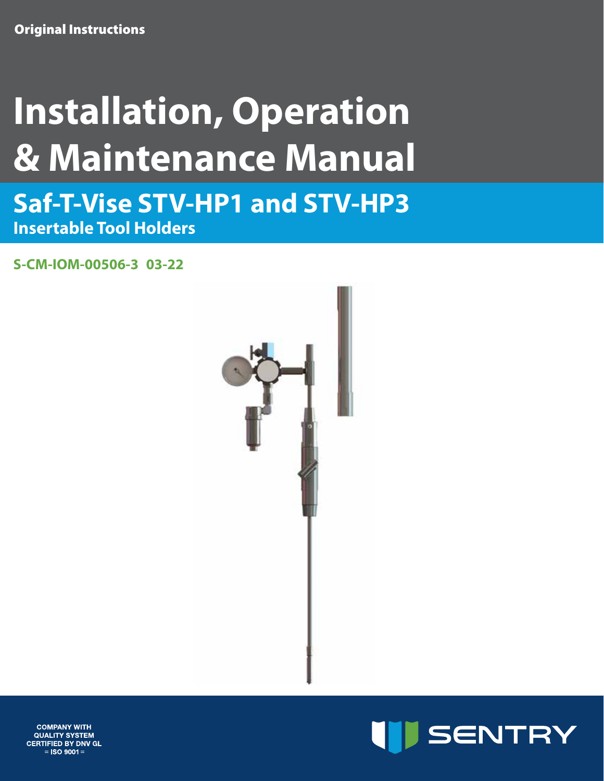# **Installation, Operation & Maintenance Manual**

**Saf-T-Vise STV-HP1 and STV-HP3 Insertable Tool Holders**

**S-CM-IOM-00506-3 03-22**



SENTF

**COMPANY WITH QUALITY SYSTEM** CERTIFIED BY DNV GL  $=$  ISO 9001  $=$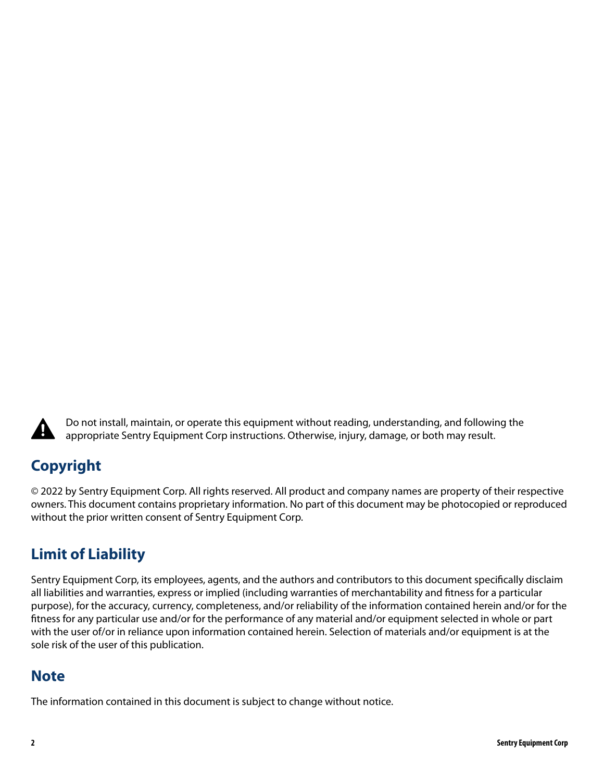

Do not install, maintain, or operate this equipment without reading, understanding, and following the appropriate Sentry Equipment Corp instructions. Otherwise, injury, damage, or both may result.

# **Copyright**

© 2022 by Sentry Equipment Corp All rights reserved All product and company names are property of their respective owners This document contains proprietary information No part of this document may be photocopied or reproduced without the prior written consent of Sentry Equipment Corp

# **Limit of Liability**

Sentry Equipment Corp, its employees, agents, and the authors and contributors to this document specifically disclaim all liabilities and warranties, express or implied (including warranties of merchantability and fitness for a particular purpose), for the accuracy, currency, completeness, and/or reliability of the information contained herein and/or for the fitness for any particular use and/or for the performance of any material and/or equipment selected in whole or part with the user of/or in reliance upon information contained herein. Selection of materials and/or equipment is at the sole risk of the user of this publication

## **Note**

The information contained in this document is subject to change without notice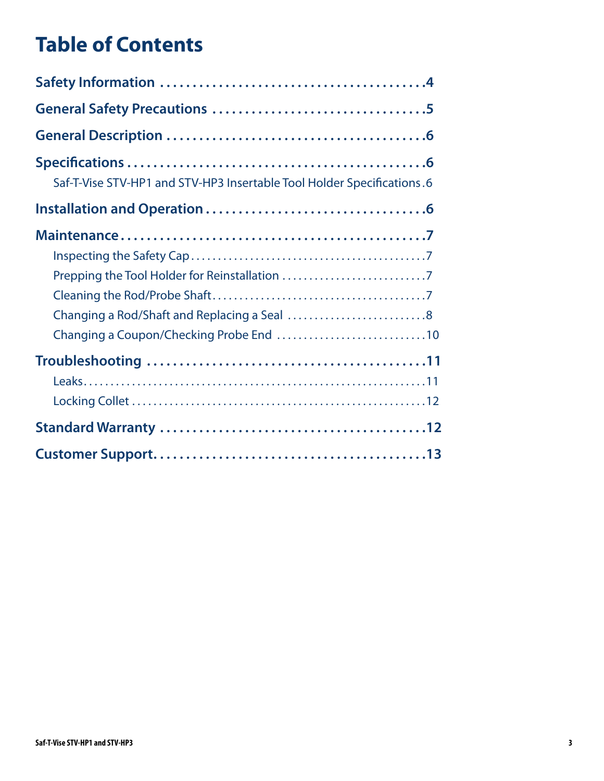# **Table of Contents**

| Saf-T-Vise STV-HP1 and STV-HP3 Insertable Tool Holder Specifications.6 |
|------------------------------------------------------------------------|
|                                                                        |
| Changing a Rod/Shaft and Replacing a Seal 8                            |
|                                                                        |
|                                                                        |
|                                                                        |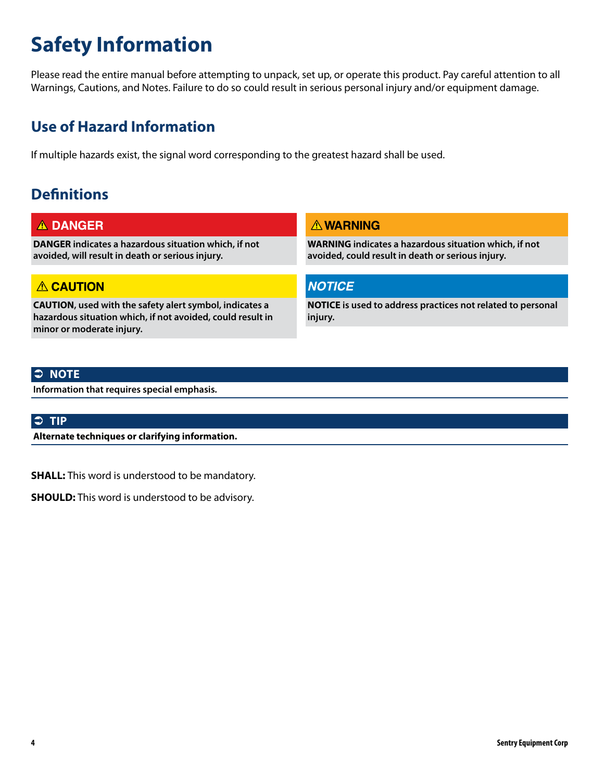# **Safety Information**

Please read the entire manual before attempting to unpack, set up, or operate this product. Pay careful attention to all Warnings, Cautions, and Notes. Failure to do so could result in serious personal injury and/or equipment damage.

### **Use of Hazard Information**

If multiple hazards exist, the signal word corresponding to the greatest hazard shall be used

### **Definitions**

#### **A DANGER**

**DANGER indicates a hazardous situation which, if not**  avoided, will result in death or serious injury.

#### **A CAUTION**

**CAUTION, used with the safety alert symbol, indicates a hazardous situation which, if not avoided, could result in**  minor or moderate injury.

#### **A WARNING**

**WARNING indicates a hazardous situation which, if not**  avoided, could result in death or serious injury.

#### **NOTICE**

**NOTICE is used to address practices not related to personal**  injury.

#### Â **NOTE**

**Information that requires special emphasis .**

#### Â **TIP**

**Alternate techniques or clarifying information.**

**SHALL:** This word is understood to be mandatory.

**SHOULD:** This word is understood to be advisory.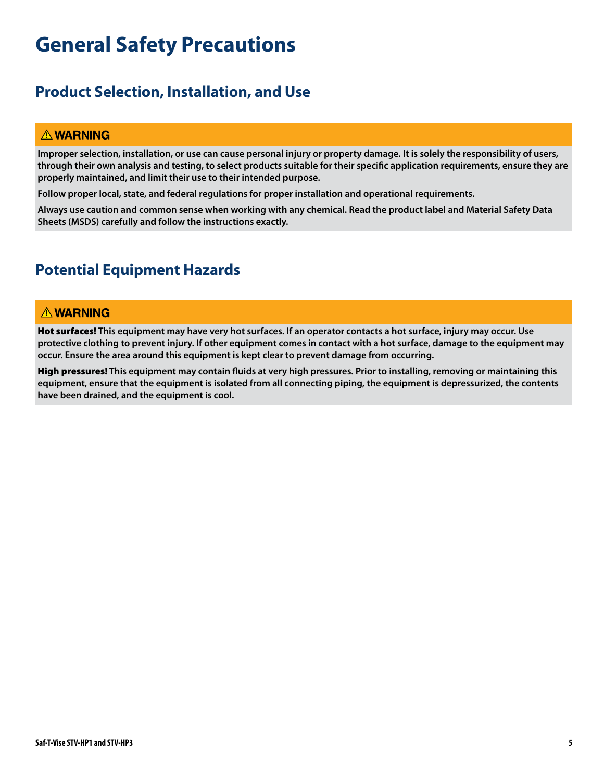# **General Safety Precautions**

## **Product Selection, Installation, and Use**

#### **A WARNING**

**Improper selection, installation, or use can cause personal injury or property damage . It is solely the responsibility of users,**  through their own analysis and testing, to select products suitable for their specific application requirements, ensure they are **properly maintained, and limit their use to their intended purpose .**

**Follow proper local, state, and federal regulations for proper installation and operational requirements .**

**Always use caution and common sense when working with any chemical . Read the product label and Material Safety Data Sheets (MSDS) carefully and follow the instructions exactly .**

### **Potential Equipment Hazards**

#### **A WARNING**

Hot surfaces! **This equipment may have very hot surfaces . If an operator contacts a hot surface, injury may occur . Use protective clothing to prevent injury . If other equipment comes in contact with a hot surface, damage to the equipment may occur . Ensure the area around this equipment is kept clear to prevent damage from occurring .**

High pressures! This equipment may contain fluids at very high pressures. Prior to installing, removing or maintaining this **equipment, ensure that the equipment is isolated from all connecting piping, the equipment is depressurized, the contents have been drained, and the equipment is cool .**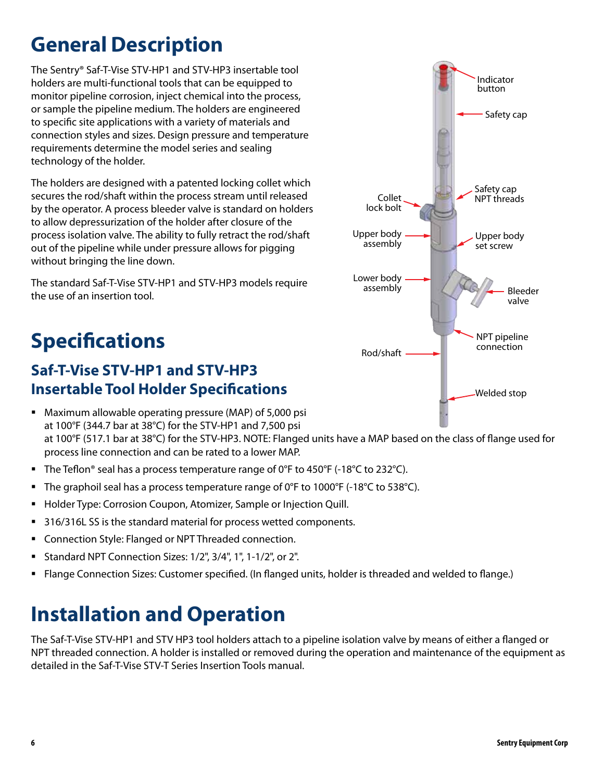# **General Description**

The Sentry® Saf-T-Vise STV-HP1 and STV-HP3 insertable tool holders are multi-functional tools that can be equipped to monitor pipeline corrosion, inject chemical into the process, or sample the pipeline medium. The holders are engineered to specific site applications with a variety of materials and connection styles and sizes. Design pressure and temperature requirements determine the model series and sealing technology of the holder.

The holders are designed with a patented locking collet which secures the rod/shaft within the process stream until released by the operator. A process bleeder valve is standard on holders to allow depressurization of the holder after closure of the process isolation valve. The ability to fully retract the rod/shaft out of the pipeline while under pressure allows for pigging without bringing the line down.

The standard Saf-T-Vise STV-HP1 and STV-HP3 models require the use of an insertion tool.

# **Specifications**

# **Saf-T-Vise STV-HP1 and STV-HP3 Insertable Tool Holder Specifications**

- Maximum allowable operating pressure (MAP) of 5,000 psi at 100°F (344.7 bar at 38°C) for the STV-HP1 and 7,500 psi at 100°F (517.1 bar at 38°C) for the STV-HP3. NOTE: Flanged units have a MAP based on the class of flange used for process line connection and can be rated to a lower MAP.
- The Teflon® seal has a process temperature range of 0°F to 450°F (-18°C to 232°C).
- The graphoil seal has a process temperature range of 0°F to 1000°F (-18°C to 538°C).
- **-** Holder Type: Corrosion Coupon, Atomizer, Sample or Injection Quill.
- 316/316L SS is the standard material for process wetted components.
- **EX Connection Style: Flanged or NPT Threaded connection.**
- Standard NPT Connection Sizes:  $1/2$ ",  $3/4$ ",  $1$ ",  $1-1/2$ ", or  $2$ ".
- Flange Connection Sizes: Customer specified. (In flanged units, holder is threaded and welded to flange.)

# **Installation and Operation**

The Saf-T-Vise STV-HP1 and STV HP3 tool holders attach to a pipeline isolation valve by means of either a flanged or NPT threaded connection. A holder is installed or removed during the operation and maintenance of the equipment as detailed in the Saf-T-Vise STV-T Series Insertion Tools manual.

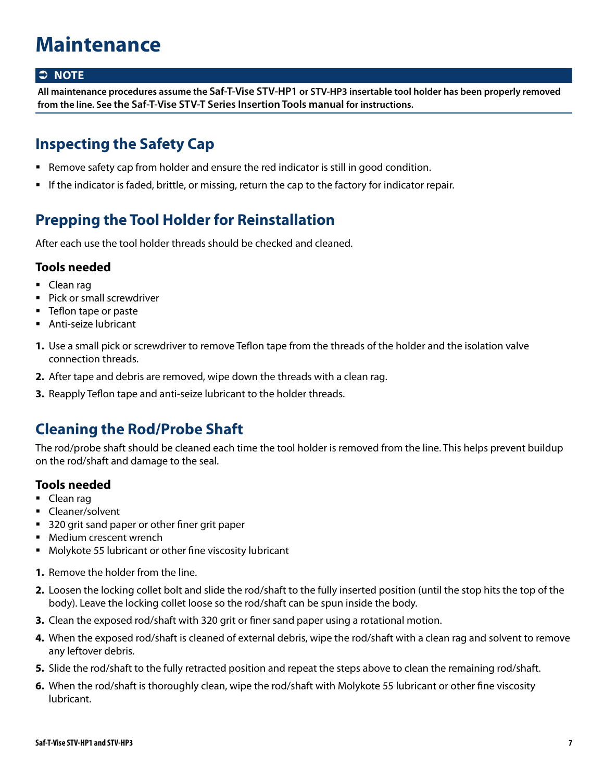# **Maintenance**

#### Â **NOTE**

**All maintenance procedures assume the Saf-T-Vise STV-HP1 or STV-HP3 insertable tool holder has been properly removed from the line. See the Saf-T-Vise STV-T Series Insertion Tools manual for instructions.**

## **Inspecting the Safety Cap**

- Remove safety cap from holder and ensure the red indicator is still in good condition.
- If the indicator is faded, brittle, or missing, return the cap to the factory for indicator repair.

### **Prepping the Tool Holder for Reinstallation**

After each use the tool holder threads should be checked and cleaned.

#### **Tools needed**

- **Clean rag**
- **Pick or small screwdriver**
- **Teflon tape or paste**
- Anti-seize lubricant
- **1.** Use a small pick or screwdriver to remove Teflon tape from the threads of the holder and the isolation valve connection threads.
- **2.** After tape and debris are removed, wipe down the threads with a clean rag.
- **3.** Reapply Teflon tape and anti-seize lubricant to the holder threads.

### **Cleaning the Rod/Probe Shaft**

The rod/probe shaft should be cleaned each time the tool holder is removed from the line. This helps prevent buildup on the rod/shaft and damage to the seal.

#### **Tools needed**

- Clean rag
- **Cleaner/solvent**
- **320 grit sand paper or other finer grit paper**
- **Medium crescent wrench**
- Molykote 55 lubricant or other fine viscosity lubricant
- **1.** Remove the holder from the line.
- **2.** Loosen the locking collet bolt and slide the rod/shaft to the fully inserted position (until the stop hits the top of the body). Leave the locking collet loose so the rod/shaft can be spun inside the body.
- **3.** Clean the exposed rod/shaft with 320 grit or finer sand paper using a rotational motion.
- **4.** When the exposed rod/shaft is cleaned of external debris, wipe the rod/shaft with a clean rag and solvent to remove any leftover debris.
- **5.** Slide the rod/shaft to the fully retracted position and repeat the steps above to clean the remaining rod/shaft.
- **6.** When the rod/shaft is thoroughly clean, wipe the rod/shaft with Molykote 55 lubricant or other fine viscosity lubricant.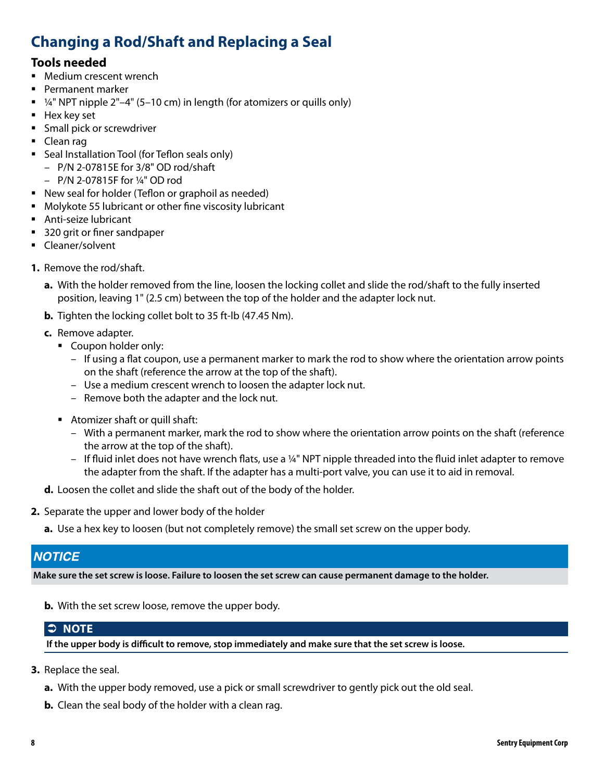# **Changing a Rod/Shaft and Replacing a Seal**

#### **Tools needed**

- **Medium crescent wrench**
- **Permanent marker**
- $\blacksquare$  <sup>1</sup>/<sub>4</sub>" NPT nipple 2"-4" (5-10 cm) in length (for atomizers or quills only)
- $H$ ex key set
- **Small pick or screwdriver**
- Clean rag
- **Seal Installation Tool (for Teflon seals only)** 
	- P/N 2-07815E for 3/8" OD rod/shaft
	- P/N 2-07815F for ¼" OD rod
- New seal for holder (Teflon or graphoil as needed)
- **Molykote 55 lubricant or other fine viscosity lubricant**
- Anti-seize lubricant
- 320 grit or finer sandpaper
- **Cleaner/solvent**
- **1.** Remove the rod/shaft.
	- **a.** With the holder removed from the line, loosen the locking collet and slide the rod/shaft to the fully inserted position, leaving 1" (2.5 cm) between the top of the holder and the adapter lock nut.
	- **b.** Tighten the locking collet bolt to 35 ft-lb (47.45 Nm).
	- **c.** Remove adapter.
		- Coupon holder only:
			- If using a flat coupon, use a permanent marker to mark the rod to show where the orientation arrow points on the shaft (reference the arrow at the top of the shaft).
			- Use a medium crescent wrench to loosen the adapter lock nut.
			- Remove both the adapter and the lock nut.
		- Atomizer shaft or quill shaft:
			- With a permanent marker, mark the rod to show where the orientation arrow points on the shaft (reference the arrow at the top of the shaft).
			- If fluid inlet does not have wrench flats, use a  $\frac{1}{4}$ " NPT nipple threaded into the fluid inlet adapter to remove the adapter from the shaft. If the adapter has a multi-port valve, you can use it to aid in removal.
	- **d.** Loosen the collet and slide the shaft out of the body of the holder.
- **2.** Separate the upper and lower body of the holder
	- **a.** Use a hex key to loosen (but not completely remove) the small set screw on the upper body.

#### **NOTICE**

**Make sure the set screw is loose. Failure to loosen the set screw can cause permanent damage to the holder.**

**b.** With the set screw loose, remove the upper body.

#### **C** NOTE

**If the upper body is difficult to remove, stop immediately and make sure that the set screw is loose.**

- **3.** Replace the seal.
	- **a.** With the upper body removed, use a pick or small screwdriver to gently pick out the old seal.
	- **b.** Clean the seal body of the holder with a clean rag.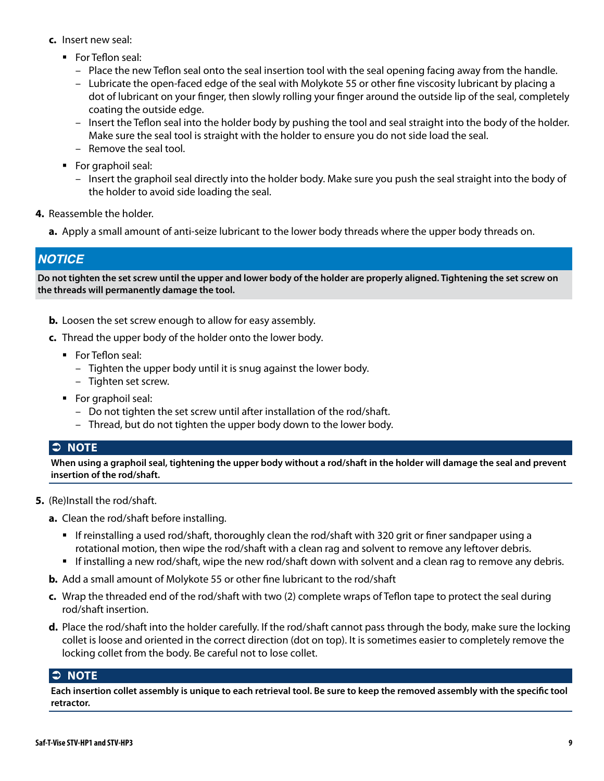- **c.** Insert new seal:
	- For Teflon seal:
		- Place the new Teflon seal onto the seal insertion tool with the seal opening facing away from the handle.
		- Lubricate the open-faced edge of the seal with Molykote 55 or other fine viscosity lubricant by placing a dot of lubricant on your finger, then slowly rolling your finger around the outside lip of the seal, completely coating the outside edge.
		- Insert the Teflon seal into the holder body by pushing the tool and seal straight into the body of the holder. Make sure the seal tool is straight with the holder to ensure you do not side load the seal.
		- Remove the seal tool.
	- For graphoil seal:
		- Insert the graphoil seal directly into the holder body. Make sure you push the seal straight into the body of the holder to avoid side loading the seal.
- **4.** Reassemble the holder.
	- **a.** Apply a small amount of anti-seize lubricant to the lower body threads where the upper body threads on.

#### **NOTICE**

**Do not tighten the set screw until the upper and lower body of the holder are properly aligned. Tightening the set screw on the threads will permanently damage the tool.**

- **b.** Loosen the set screw enough to allow for easy assembly.
- **c.** Thread the upper body of the holder onto the lower body.
	- **For Teflon seal:** 
		- Tighten the upper body until it is snug against the lower body.
		- Tighten set screw.
	- **For graphoil seal:** 
		- Do not tighten the set screw until after installation of the rod/shaft.
		- Thread, but do not tighten the upper body down to the lower body.

#### Â **NOTE**

**When using a graphoil seal, tightening the upper body without a rod/shaft in the holder will damage the seal and prevent insertion of the rod/shaft.**

#### **5.** (Re)Install the rod/shaft.

- **a.** Clean the rod/shaft before installing.
	- If reinstalling a used rod/shaft, thoroughly clean the rod/shaft with 320 grit or finer sandpaper using a rotational motion, then wipe the rod/shaft with a clean rag and solvent to remove any leftover debris.
	- If installing a new rod/shaft, wipe the new rod/shaft down with solvent and a clean rag to remove any debris.
- **b.** Add a small amount of Molykote 55 or other fine lubricant to the rod/shaft
- **c.** Wrap the threaded end of the rod/shaft with two (2) complete wraps of Teflon tape to protect the seal during rod/shaft insertion.
- **d.** Place the rod/shaft into the holder carefully. If the rod/shaft cannot pass through the body, make sure the locking collet is loose and oriented in the correct direction (dot on top). It is sometimes easier to completely remove the locking collet from the body. Be careful not to lose collet.

#### **C** NOTE

**Each insertion collet assembly is unique to each retrieval tool. Be sure to keep the removed assembly with the specific tool retractor.**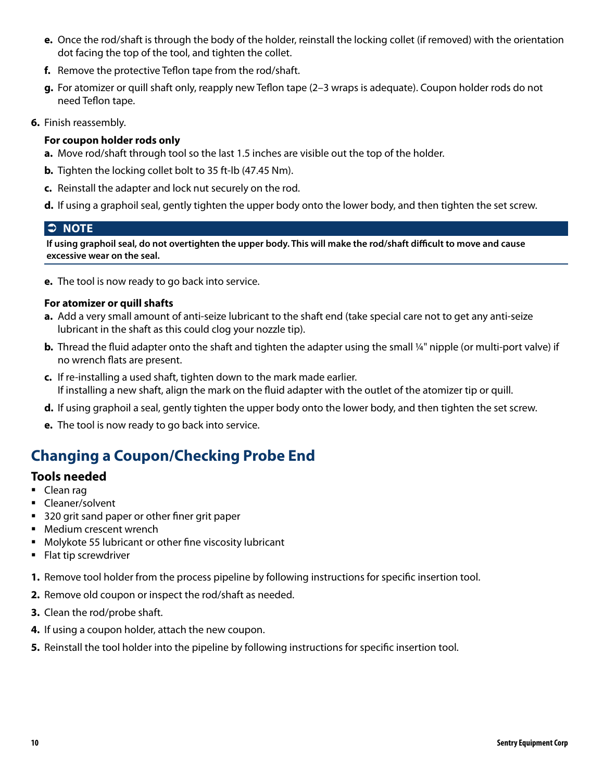- **e.** Once the rod/shaft is through the body of the holder, reinstall the locking collet (if removed) with the orientation dot facing the top of the tool, and tighten the collet.
- **f.** Remove the protective Teflon tape from the rod/shaft.
- **g.** For atomizer or quill shaft only, reapply new Teflon tape (2–3 wraps is adequate). Coupon holder rods do not need Teflon tape.
- **6.** Finish reassembly.

#### **For coupon holder rods only**

- **a.** Move rod/shaft through tool so the last 1.5 inches are visible out the top of the holder.
- **b.** Tighten the locking collet bolt to 35 ft-lb (47.45 Nm).
- **c.** Reinstall the adapter and lock nut securely on the rod.
- **d.** If using a graphoil seal, gently tighten the upper body onto the lower body, and then tighten the set screw.

#### **CONDUCTE**

**If using graphoil seal, do not overtighten the upper body. This will make the rod/shaft difficult to move and cause excessive wear on the seal.**

**e.** The tool is now ready to go back into service.

#### **For atomizer or quill shafts**

- **a.** Add a very small amount of anti-seize lubricant to the shaft end (take special care not to get any anti-seize lubricant in the shaft as this could clog your nozzle tip).
- **b.** Thread the fluid adapter onto the shaft and tighten the adapter using the small ¼" nipple (or multi-port valve) if no wrench flats are present.
- **c.** If re-installing a used shaft, tighten down to the mark made earlier. If installing a new shaft, align the mark on the fluid adapter with the outlet of the atomizer tip or quill.
- **d.** If using graphoil a seal, gently tighten the upper body onto the lower body, and then tighten the set screw.
- **e.** The tool is now ready to go back into service.

## **Changing a Coupon/Checking Probe End**

#### **Tools needed**

- Clean rag
- **Cleaner/solvent**
- 320 grit sand paper or other finer grit paper
- **Medium crescent wrench**
- **Molykote 55 lubricant or other fine viscosity lubricant**
- **Flat tip screwdriver**
- **1.** Remove tool holder from the process pipeline by following instructions for specific insertion tool.
- **2.** Remove old coupon or inspect the rod/shaft as needed.
- **3.** Clean the rod/probe shaft.
- **4.** If using a coupon holder, attach the new coupon.
- **5.** Reinstall the tool holder into the pipeline by following instructions for specific insertion tool.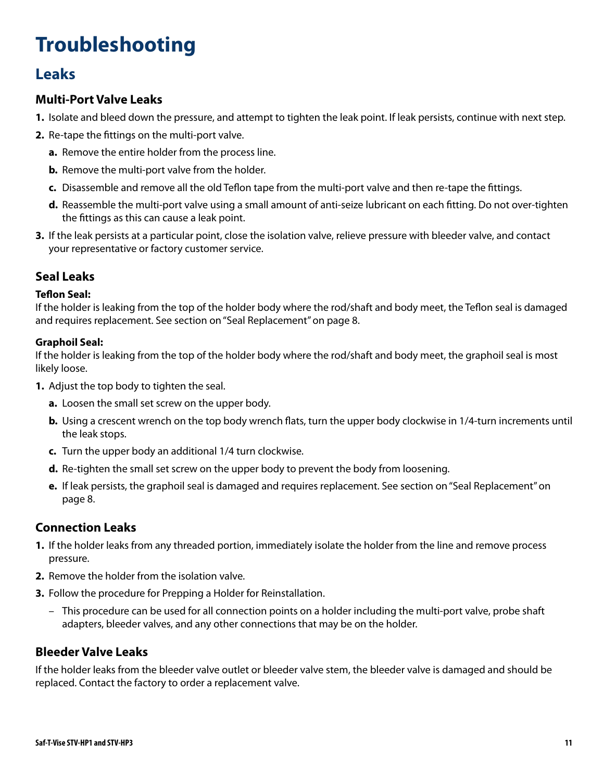# **Troubleshooting**

### **Leaks**

#### **Multi-Port Valve Leaks**

- **1.** Isolate and bleed down the pressure, and attempt to tighten the leak point. If leak persists, continue with next step.
- **2.** Re-tape the fittings on the multi-port valve.
	- **a.** Remove the entire holder from the process line.
	- **b.** Remove the multi-port valve from the holder.
	- **c.** Disassemble and remove all the old Teflon tape from the multi-port valve and then re-tape the fittings.
	- **d.** Reassemble the multi-port valve using a small amount of anti-seize lubricant on each fitting. Do not over-tighten the fittings as this can cause a leak point.
- **3.** If the leak persists at a particular point, close the isolation valve, relieve pressure with bleeder valve, and contact your representative or factory customer service.

#### **Seal Leaks**

#### **Teflon Seal:**

If the holder is leaking from the top of the holder body where the rod/shaft and body meet, the Teflon seal is damaged and requires replacement. See section on "Seal Replacement" on page 8.

#### **Graphoil Seal:**

If the holder is leaking from the top of the holder body where the rod/shaft and body meet, the graphoil seal is most likely loose.

- **1.** Adjust the top body to tighten the seal.
	- **a.** Loosen the small set screw on the upper body.
	- **b.** Using a crescent wrench on the top body wrench flats, turn the upper body clockwise in 1/4-turn increments until the leak stops.
	- **c.** Turn the upper body an additional 1/4 turn clockwise.
	- **d.** Re-tighten the small set screw on the upper body to prevent the body from loosening.
	- **e.** If leak persists, the graphoil seal is damaged and requires replacement. See section on "Seal Replacement" on page 8.

#### **Connection Leaks**

- **1.** If the holder leaks from any threaded portion, immediately isolate the holder from the line and remove process pressure.
- **2.** Remove the holder from the isolation valve.
- **3.** Follow the procedure for Prepping a Holder for Reinstallation.
	- This procedure can be used for all connection points on a holder including the multi-port valve, probe shaft adapters, bleeder valves, and any other connections that may be on the holder.

#### **Bleeder Valve Leaks**

If the holder leaks from the bleeder valve outlet or bleeder valve stem, the bleeder valve is damaged and should be replaced. Contact the factory to order a replacement valve.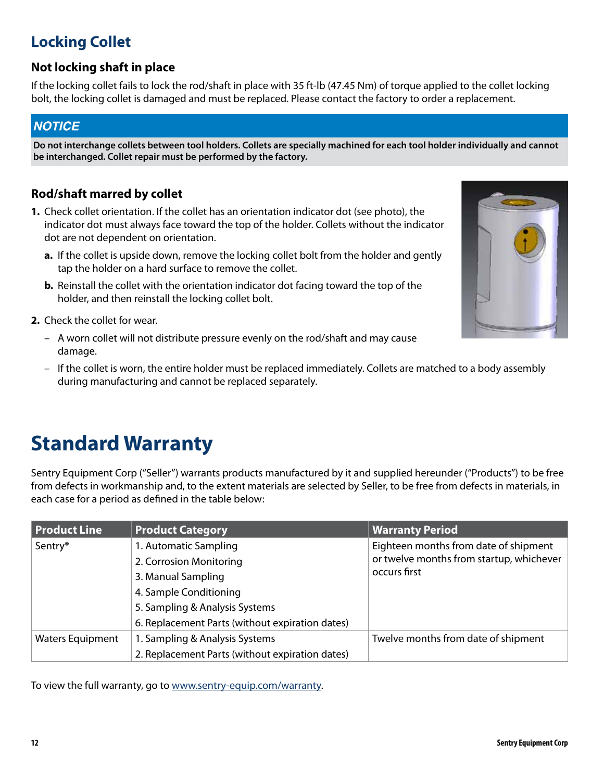#### **12 Sentry Equipment Corp**

### **Locking Collet**

#### **Not locking shaft in place**

If the locking collet fails to lock the rod/shaft in place with 35 ft-lb (47.45 Nm) of torque applied to the collet locking bolt, the locking collet is damaged and must be replaced. Please contact the factory to order a replacement.

#### **NOTICE**

**Do not interchange collets between tool holders. Collets are specially machined for each tool holder individually and cannot be interchanged. Collet repair must be performed by the factory.**

#### **Rod/shaft marred by collet**

- **1.** Check collet orientation. If the collet has an orientation indicator dot (see photo), the indicator dot must always face toward the top of the holder. Collets without the indicator dot are not dependent on orientation.
	- **a.** If the collet is upside down, remove the locking collet bolt from the holder and gently tap the holder on a hard surface to remove the collet.
	- **b.** Reinstall the collet with the orientation indicator dot facing toward the top of the holder, and then reinstall the locking collet bolt.
- **2.** Check the collet for wear.
	- A worn collet will not distribute pressure evenly on the rod/shaft and may cause damage.
	- If the collet is worn, the entire holder must be replaced immediately. Collets are matched to a body assembly during manufacturing and cannot be replaced separately.

# **Standard Warranty**

Sentry Equipment Corp ("Seller") warrants products manufactured by it and supplied hereunder ("Products") to be free from defects in workmanship and, to the extent materials are selected by Seller, to be free from defects in materials, in each case for a period as defined in the table below:

| <b>Product Line</b>     | <b>Product Category</b>                         | <b>Warranty Period</b>                                                                            |
|-------------------------|-------------------------------------------------|---------------------------------------------------------------------------------------------------|
| Sentry®                 | 1. Automatic Sampling                           | Eighteen months from date of shipment<br>or twelve months from startup, whichever<br>occurs first |
|                         | 2. Corrosion Monitoring                         |                                                                                                   |
|                         | 3. Manual Sampling                              |                                                                                                   |
|                         | 4. Sample Conditioning                          |                                                                                                   |
|                         | 5. Sampling & Analysis Systems                  |                                                                                                   |
|                         | 6. Replacement Parts (without expiration dates) |                                                                                                   |
| <b>Waters Equipment</b> | 1. Sampling & Analysis Systems                  | Twelve months from date of shipment                                                               |
|                         | 2. Replacement Parts (without expiration dates) |                                                                                                   |

To view the full warranty, go to www.sentry-equip.com/warranty.

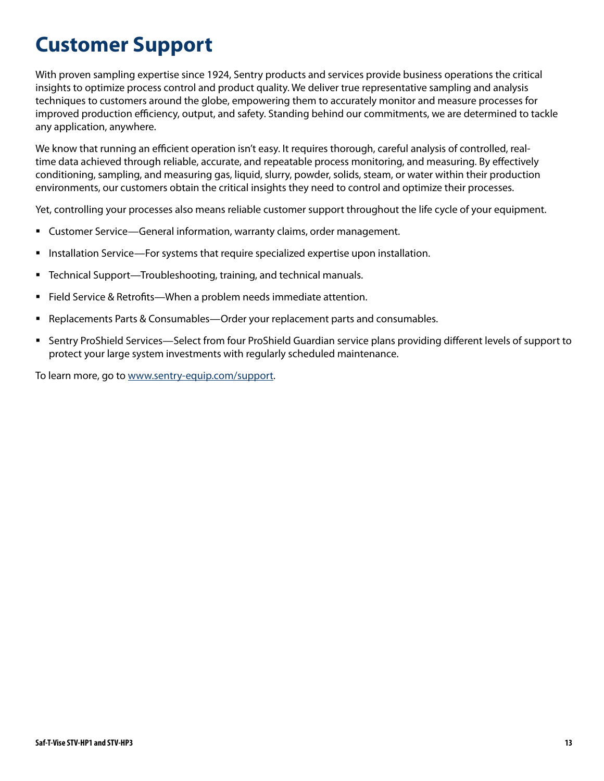# **Customer Support**

With proven sampling expertise since 1924, Sentry products and services provide business operations the critical insights to optimize process control and product quality We deliver true representative sampling and analysis techniques to customers around the globe, empowering them to accurately monitor and measure processes for improved production efficiency, output, and safety. Standing behind our commitments, we are determined to tackle any application, anywhere

We know that running an efficient operation isn't easy. It requires thorough, careful analysis of controlled, realtime data achieved through reliable, accurate, and repeatable process monitoring, and measuring. By effectively conditioning, sampling, and measuring gas, liquid, slurry, powder, solids, steam, or water within their production environments, our customers obtain the critical insights they need to control and optimize their processes

Yet, controlling your processes also means reliable customer support throughout the life cycle of your equipment.

- Customer Service—General information, warranty claims, order management.
- **Installation Service—For systems that require specialized expertise upon installation.**
- Technical Support—Troubleshooting, training, and technical manuals.
- **Field Service & Retrofits—When a problem needs immediate attention.**
- **•** Replacements Parts & Consumables—Order your replacement parts and consumables.
- Sentry ProShield Services—Select from four ProShield Guardian service plans providing different levels of support to protect your large system investments with regularly scheduled maintenance

To learn more, go to www.sentry-equip.com/support.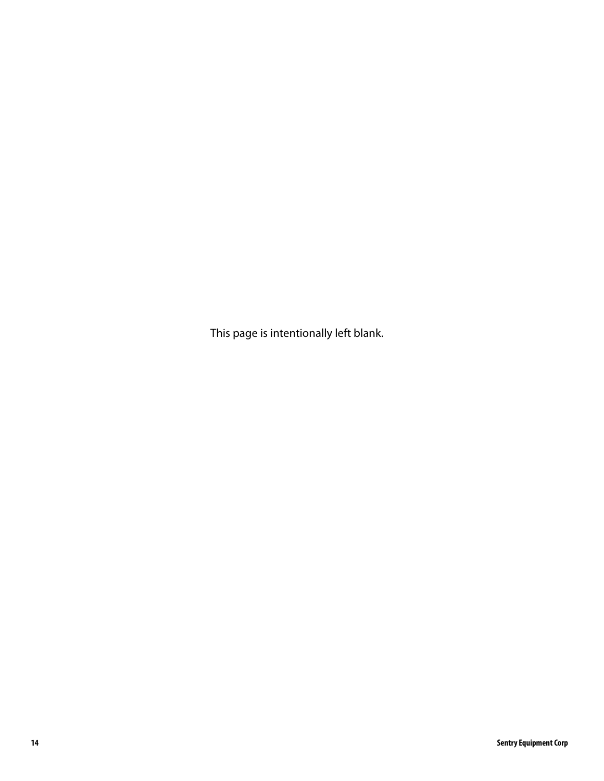This page is intentionally left blank.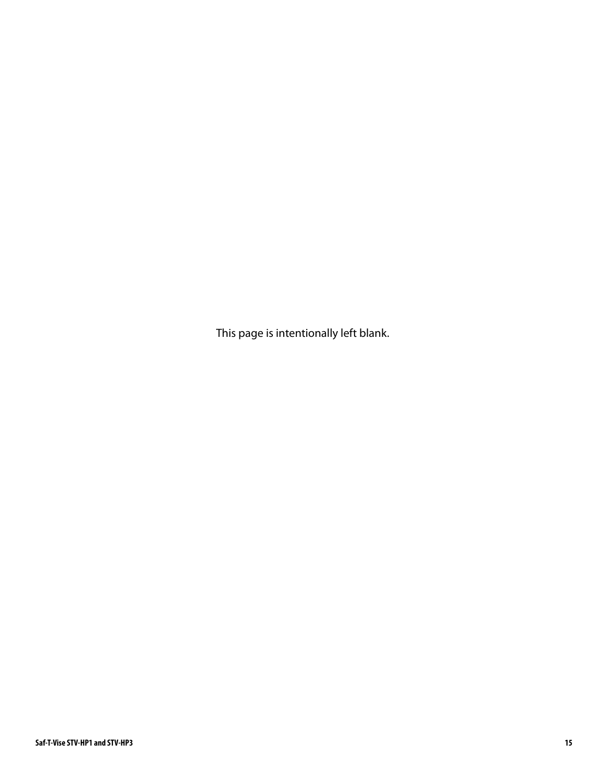This page is intentionally left blank.